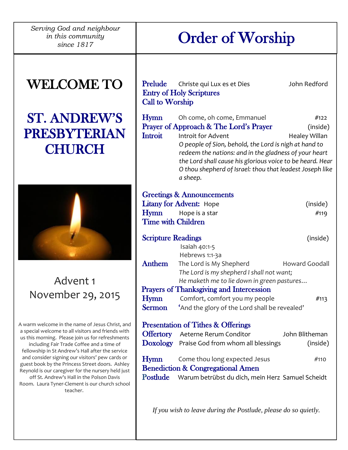*Serving God and neighbour in this community* 

# *his community* **Cross Community Cross Community**

## WELCOME TO

## ST. ANDREW'S PRESBYTERIAN **CHURCH**



Advent 1 November 29, 2015

A warm welcome in the name of Jesus Christ, and a special welcome to all visitors and friends with us this morning. Please join us for refreshments including Fair Trade Coffee and a time of fellowship in St Andrew's Hall after the service and consider signing our visitors' pew cards or guest book by the Princess Street doors. Ashley Reynold is our caregiver for the nursery held just off St. Andrew's Hall in the Polson Davis Room. Laura Tyner-Clement is our church school teacher.

| <b>Prelude</b><br><b>Call to Worship</b> | Christe qui Lux es et Dies<br><b>Entry of Holy Scriptures</b>                                                                                                                                                                                                                                                                                     | John Redford                       |
|------------------------------------------|---------------------------------------------------------------------------------------------------------------------------------------------------------------------------------------------------------------------------------------------------------------------------------------------------------------------------------------------------|------------------------------------|
| Hymn<br>Introit                          | Oh come, oh come, Emmanuel<br>Prayer of Approach & The Lord's Prayer<br>Introit for Advent<br>O people of Sion, behold, the Lord is nigh at hand to<br>redeem the nations: and in the gladness of your heart<br>the Lord shall cause his glorious voice to be heard. Hear<br>O thou shepherd of Israel: thou that leadest Joseph like<br>a sheep. | #122<br>(inside)<br>Healey Willan  |
| <b>Time with Children</b>                | <b>Greetings &amp; Announcements</b><br><b>Litany for Advent:</b> Hope<br>Hymn Hope is a star                                                                                                                                                                                                                                                     | (inside)<br>#119                   |
| <b>Scripture Readings</b>                |                                                                                                                                                                                                                                                                                                                                                   | (inside)                           |
| <b>Anthem</b>                            | Isaiah 40:1-5<br>Hebrews 1:1-3a<br>The Lord is My Shepherd<br>The Lord is my shepherd I shall not want;<br>He maketh me to lie down in green pastures<br><b>Prayers of Thanksgiving and Intercession</b>                                                                                                                                          | <b>Howard Goodall</b>              |
| Hymn<br><b>Sermon</b>                    | Comfort, comfort you my people<br>'And the glory of the Lord shall be revealed'                                                                                                                                                                                                                                                                   | #113                               |
| Hymn                                     | <b>Presentation of Tithes &amp; Offerings</b><br><b>Offertory</b> Aeterne Rerum Conditor<br>Doxology Praise God from whom all blessings<br>Come thou long expected Jesus<br><b>Benediction &amp; Congregational Amen</b><br>Postlude Warum betrübst du dich, mein Herz Samuel Scheidt                                                             | John Blitheman<br>(inside)<br>#110 |

*If you wish to leave during the Postlude, please do so quietly.*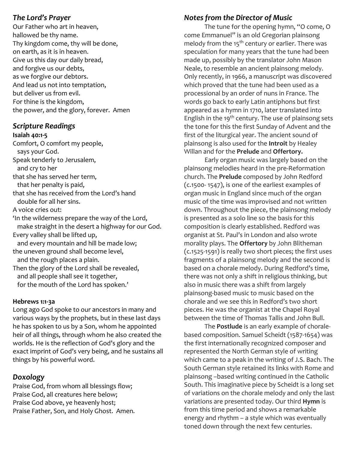#### *The Lord's Prayer*

Our Father who art in heaven, hallowed be thy name. Thy kingdom come, thy will be done, on earth, as it is in heaven. Give us this day our daily bread, and forgive us our debts, as we forgive our debtors. And lead us not into temptation, but deliver us from evil. For thine is the kingdom, the power, and the glory, forever. Amen

## *Scripture Readings*

#### **Isaiah 40:1-5**

Comfort, O comfort my people, says your God. Speak tenderly to Jerusalem, and cry to her that she has served her term, that her penalty is paid, that she has received from the Lord's hand double for all her sins. A voice cries out: 'In the wilderness prepare the way of the Lord, make straight in the desert a highway for our God. Every valley shall be lifted up, and every mountain and hill be made low; the uneven ground shall become level, and the rough places a plain. Then the glory of the Lord shall be revealed, and all people shall see it together, for the mouth of the Lord has spoken.'

#### **Hebrews 1:1-3a**

Long ago God spoke to our ancestors in many and various ways by the prophets, but in these last days he has spoken to us by a Son, whom he appointed heir of all things, through whom he also created the worlds. He is the reflection of God's glory and the exact imprint of God's very being, and he sustains all things by his powerful word.

### *Doxology*

Praise God, from whom all blessings flow; Praise God, all creatures here below; Praise God above, ye heavenly host; Praise Father, Son, and Holy Ghost. Amen.

## *Notes from the Director of Music*

The tune for the opening hymn, "O come, O come Emmanuel" is an old Gregorian plainsong melody from the  $15<sup>th</sup>$  century or earlier. There was speculation for many years that the tune had been made up, possibly by the translator John Mason Neale, to resemble an ancient plainsong melody. Only recently, in 1966, a manuscript was discovered which proved that the tune had been used as a processional by an order of nuns in France. The words go back to early Latin antiphons but first appeared as a hymn in 1710, later translated into English in the 19<sup>th</sup> century. The use of plainsong sets the tone for this the first Sunday of Advent and the first of the liturgical year. The ancient sound of plainsong is also used for the **Introit** by Healey Willan and for the **Prelude** and **Offertory.**

Early organ music was largely based on the plainsong melodies heard in the pre-Reformation church. The **Prelude** composed by John Redford (c.1500- 1547), is one of the earliest examples of organ music in England since much of the organ music of the time was improvised and not written down. Throughout the piece, the plainsong melody is presented as a solo line so the basis for this composition is clearly established. Redford was organist at St. Paul's in London and also wrote morality plays. The **Offertory** by John Blitheman (c.1525-1591) is really two short pieces; the first uses fragments of a plainsong melody and the second is based on a chorale melody. During Redford's time, there was not only a shift in religious thinking, but also in music there was a shift from largely plainsong-based music to music based on the chorale and we see this in Redford's two short pieces. He was the organist at the Chapel Royal between the time of Thomas Tallis and John Bull.

The **Postlude** is an early example of choralebased composition. Samuel Scheidt (1587-1654) was the first internationally recognized composer and represented the North German style of writing which came to a peak in the writing of J.S. Bach. The South German style retained its links with Rome and plainsong –based writing continued in the Catholic South. This imaginative piece by Scheidt is a long set of variations on the chorale melody and only the last variations are presented today. Our third **Hymn** is from this time period and shows a remarkable energy and rhythm – a style which was eventually toned down through the next few centuries.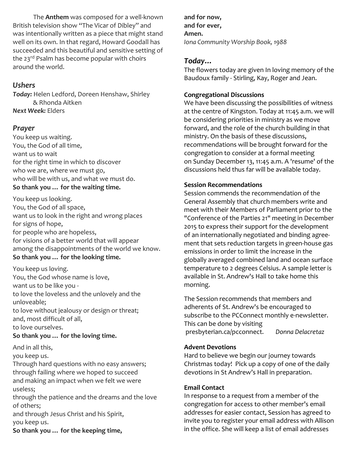The **Anthem** was composed for a well-known British television show "The Vicar of Dibley" and was intentionally written as a piece that might stand well on its own. In that regard, Howard Goodall has succeeded and this beautiful and sensitive setting of the 23<sup>rd</sup> Psalm has become popular with choirs around the world.

### *Ushers*

*Today:* Helen Ledford, Doreen Henshaw, Shirley & Rhonda Aitken *Next Week:* Elders

## *Prayer*

You keep us waiting. You, the God of all time, want us to wait for the right time in which to discover who we are, where we must go, who will be with us, and what we must do. **So thank you … for the waiting time.**

You keep us looking. You, the God of all space, want us to look in the right and wrong places for signs of hope, for people who are hopeless, for visions of a better world that will appear among the disappointments of the world we know. **So thank you … for the looking time.**

You keep us loving. You, the God whose name is love, want us to be like you to love the loveless and the unlovely and the unloveable; to love without jealousy or design or threat; and, most difficult of all, to love ourselves.

### **So thank you … for the loving time.**

And in all this,

you keep us.

Through hard questions with no easy answers; through failing where we hoped to succeed and making an impact when we felt we were useless;

through the patience and the dreams and the love of others;

and through Jesus Christ and his Spirit, you keep us.

**So thank you … for the keeping time,**

**and for now, and for ever, Amen.** *Iona Community Worship Book, 1988*

## *Today…*

The flowers today are given In loving memory of the Baudoux family - Stirling, Kay, Roger and Jean.

## **Congregational Discussions**

We have been discussing the possibilities of witness at the centre of Kingston. Today at 11:45 a.m. we will be considering priorities in ministry as we move forward, and the role of the church building in that ministry. On the basis of these discussions, recommendations will be brought forward for the congregation to consider at a formal meeting on Sunday December 13, 11:45 a.m. A 'resume' of the discussions held thus far will be available today.

## **Session Recommendations**

Session commends the recommendation of the General Assembly that church members write and meet with their Members of Parliament prior to the "Conference of the Parties 21" meeting in December 2015 to express their support for the development of an internationally negotiated and binding agreement that sets reduction targets in green-house gas emissions in order to limit the increase in the globally averaged combined land and ocean surface temperature to 2 degrees Celsius. A sample letter is available in St. Andrew's Hall to take home this morning.

The Session recommends that members and adherents of St. Andrew's be encouraged to subscribe to the PCConnect monthly e-newsletter. This can be done by visiting presbyterian.ca/pcconnect. *Donna Delacretaz*

### **Advent Devotions**

Hard to believe we begin our journey towards Christmas today! Pick up a copy of one of the daily devotions in St Andrew's Hall in preparation.

### **Email Contact**

In response to a request from a member of the congregation for access to other member's email addresses for easier contact, Session has agreed to invite you to register your email address with Allison in the office. She will keep a list of email addresses